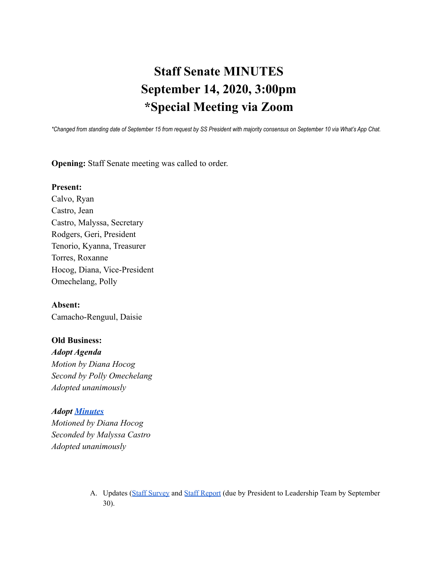# **Staff Senate MINUTES September 14, 2020, 3:00pm \*Special Meeting via Zoom**

*\*Changed from standing date of September 15 from request by SS President with majority consensus on September 10 via What's App Chat.*

**Opening:** Staff Senate meeting was called to order.

#### **Present:**

Calvo, Ryan Castro, Jean Castro, Malyssa, Secretary Rodgers, Geri, President Tenorio, Kyanna, Treasurer Torres, Roxanne Hocog, Diana, Vice-President Omechelang, Polly

## **Absent:**

Camacho-Renguul, Daisie

# **Old Business:**

*Adopt Agenda Motion by Diana Hocog Second by Polly Omechelang Adopted unanimously*

# *Adopt [Minutes](https://docs.google.com/document/d/1gOu1kKA2opvNhaFU_fFlPqWy5qWLPg2edvA2LFOcFEU/edit?usp=sharing)*

*Motioned by Diana Hocog Seconded by Malyssa Castro Adopted unanimously*

> A. Updates ([Staff Survey](https://docs.google.com/document/d/1TT33my4VQ7sZxfbA-zbZhsqJ9eRg-dgSyp6D5MiB1tU/edit) and [Staff Report](https://docs.google.com/document/d/18BQaOB9EDWQXmT732tuZpBgFtkh_V66Bmb0-TX1q_Iw/edit) (due by President to Leadership Team by September 30).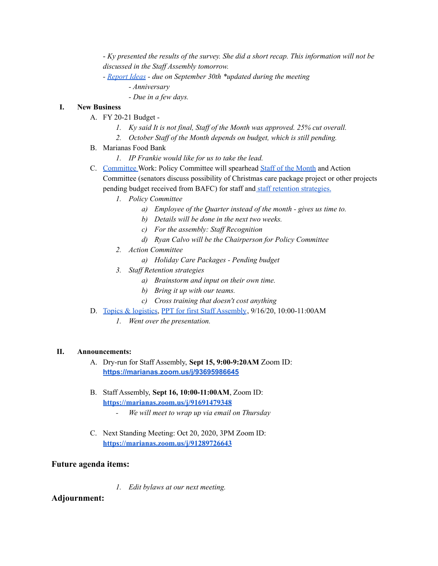- *Ky presented the results of the survey. She did a short recap. This information will not be discussed in the Staff Assembly tomorrow.*

- *- [Report Ideas](https://docs.google.com/document/d/18BQaOB9EDWQXmT732tuZpBgFtkh_V66Bmb0-TX1q_Iw/edit?usp=sharing) due on September 30th \*updated during the meeting*
	- *Anniversary*
	- *Due in a few days.*

# **I. New Business**

- A. FY 20-21 Budget
	- *1. Ky said It is not final, Staff of the Month was approved. 25% cut overall.*
	- *2. October Staff of the Month depends on budget, which is still pending.*
- B. Marianas Food Bank
	- *1. IP Frankie would like for us to take the lead.*
- C. [Committee](https://docs.google.com/document/d/1083Q9Dyw9CDy2i8W-WAGcZxFqfi-aa2OyVHgYGfoerA/edit) Work: Policy Committee will spearhead Staff [of the Month](https://docs.google.com/document/d/14pUSwcQ4oYrkBJ-kyCyt5Xje3HooPulzKK_gkgNyfjE/edit) and Action Committee (senators discuss possibility of Christmas care package project or other projects pending budget received from BAFC) for staff and staff [retention strategies.](https://docs.google.com/document/d/1ukmPmWmiwBHLSAcv4z53cSkPqAB9LOnIYTKxMp-LNSA/edit)
	- *1. Policy Committee*
		- *a) Employee of the Quarter instead of the month gives us time to.*
		- *b) Details will be done in the next two weeks.*
		- *c) For the assembly: Staff Recognition*
		- *d) Ryan Calvo will be the Chairperson for Policy Committee*
	- *2. Action Committee*
		- *a) Holiday Care Packages Pending budget*
	- *3. Staff Retention strategies*
		- *a) Brainstorm and input on their own time.*
		- *b) Bring it up with our teams.*
		- *c) Cross training that doesn't cost anything*
- D. [Topics & logistics](https://docs.google.com/document/d/16oj4rKqrLGixqeieYxf0MwzwvGDYv1qyBy36r3hGFag/edit), [PPT for first Staff Assembly](https://docs.google.com/presentation/d/1Ynav3nNPt9KwUYBqTVNshF6wjPprpp5bxzkTIl01AUI/edit#slide=id.g96814095c0_0_1139), 9/16/20, 10:00-11:00AM
	- *1. Went over the presentation.*

#### **II. Announcements:**

- A. Dry-run for Staff Assembly, **Sept 15, 9:00-9:20AM** Zoom ID: **<https://marianas.zoom.us/j/93695986645>**
- B. Staff Assembly, **Sept 16, 10:00-11:00AM**, Zoom ID: **<https://marianas.zoom.us/j/91691479348>**
	- *- We will meet to wrap up via email on Thursday*
- C. Next Standing Meeting: Oct 20, 2020, 3PM Zoom ID: **<https://marianas.zoom.us/j/91289726643>**

## **Future agenda items:**

*1. Edit bylaws at our next meeting.*

## **Adjournment:**